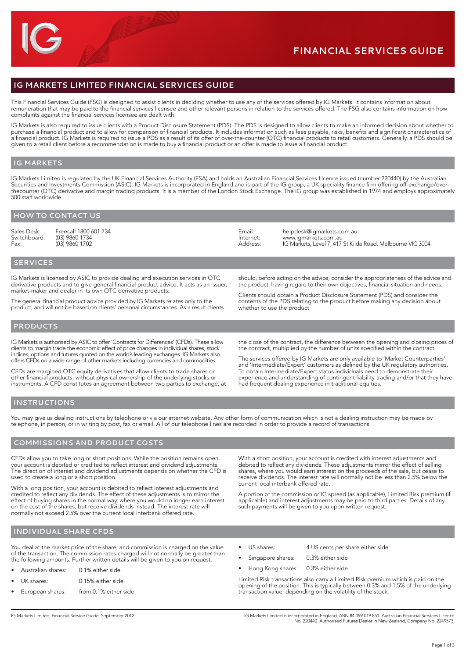# **IG Markets LIMITED Financial Services Guide**

This Financial Services Guide (FSG) is designed to assist clients in deciding whether to use any of the services offered by IG Markets. It contains information about remuneration that may be paid to the financial services licensee and other relevant persons in relation to the services offered. The FSG also contains information on how complaints against the financial services licensee are dealt with.

IG Markets is also required to issue clients with a Product Disclosure Statement (PDS). The PDS is designed to allow clients to make an informed decision about whether to purchase a financial product and to allow for comparison of financial products. It includes information such as fees payable, risks, benefits and significant characteristics of a financial product. IG Markets is required to issue a PDS as a result of its offer of over-the-counter (OTC) financial products to retail customers. Generally, a PDS should be given to a retail client before a recommendation is made to buy a financial product or an offer is made to issue a financial product.

#### **IG Markets**

IG Markets Limited is regulated by the UK Financial Services Authority (FSA) and holds an Australian Financial Services Licence issued (number 220440) by the Australian Securities and Investments Commission (ASIC). IG Markets is incorporated in England and is part of the IG group, a UK speciality finance firm offering off-exchange/overthecounter (OTC) derivative and margin trading products. It is a member of the London Stock Exchange. The IG group was established in 1974 and employs approximately 500 staff worldwide.

## **How to contact us**

Sales Desk: Freecall 1800 601 734<br>Switchboard: (03) 9860 1734 Switchboard: (03) 9860 1734<br>Fax: (03) 9860 1702 Fax: (03) 9860 1702

Email: [helpdesk@igmarkets.com.au](mailto:helpdesk%40igmarkets.com.au?subject=) Internet: [www.igmarkets.com.au](http://www.igmarkets.com.au)<br>Address: IG Markets. Level 7, 417 Address: IG Markets, Level 7, 417 St Kilda Road, Melbourne VIC 3004

## **Services**

IG Markets is licensed by ASIC to provide dealing and execution services in OTC derivative products and to give general financial product advice. It acts as an issuer, market-maker and dealer in its own OTC derivative products.

The general financial product advice provided by IG Markets relates only to the product, and will not be based on clients' personal circumstances. As a result clients

should, before acting on the advice, consider the appropriateness of the advice and the product, having regard to their own objectives, financial situation and needs.

Clients should obtain a Product Disclosure Statement (PDS) and consider the contents of the PDS relating to the product before making any decision about whether to use the product.

### **Products**

IG Markets is authorised by ASIC to offer 'Contracts for Differences' (CFDs). These allow clients to margin trade the economic effect of price changes in individual shares, stock indices, options and futures quoted on the world's leading exchanges. IG Markets also offers CFDs on a wide range of other markets including currencies and commodities.

CFDs are margined OTC equity derivatives that allow clients to trade shares or other financial products, without physical ownership of the underlying stocks or instruments. A CFD constitutes an agreement between two parties to exchange, at

the close of the contract, the difference between the opening and closing prices of the contract, multiplied by the number of units specified within the contract.

The services offered by IG Markets are only available to 'Market Counterparties' and 'Intermediate/Expert' customers as defined by the UK regulatory authorities. To obtain Intermediate/Expert status individuals need to demonstrate their experience and understanding of contingent liability trading and/or that they have had frequent dealing experience in traditional equities.

#### **Instructions**

You may give us dealing instructions by telephone or via our internet website. Any other form of communication which is not a dealing instruction may be made by telephone, in person, or in writing by post, fax or email. All of our telephone lines are recorded in order to provide a record of transactions.

### **Commissions and product costs**

CFDs allow you to take long or short positions. While the position remains open, your account is debited or credited to reflect interest and dividend adjustments. The direction of interest and dividend adjustments depends on whether the CFD is used to create a long or a short position.

With a long position, your account is debited to reflect interest adjustments and credited to reflect any dividends. The effect of these adjustments is to mirror the effect of buying shares in the normal way, where you would no longer earn interest on the cost of the shares, but receive dividends instead. The interest rate will normally not exceed 2.5% over the current local interbank offered rate.

With a short position, your account is credited with interest adjustments and debited to reflect any dividends. These adjustments mirror the effect of selling shares, where you would earn interest on the proceeds of the sale, but cease to receive dividends. The interest rate will normally not be less than 2.5% below the current local interbank offered rate.

A portion of the commission or IG spread (as applicable), Limited Risk premium (if applicable) and interest adjustments may be paid to third parties. Details of any such payments will be given to you upon written request.

# **Individual share CFDs**

You deal at the market price of the share, and commission is charged on the value of the transaction. The commission rates charged will not normally be greater than the following amounts. Further written details will be given to you on request.

- Australian shares: 0.1% either side
- UK shares: 0.15% either side
- European shares: from 0.1% either side
- US shares: 4 US cents per share either side
- Singapore shares: 0.3% either side
- Hong Kong shares: 0.3% either side

Limited Risk transactions also carry a Limited Risk premium which is paid on the opening of the position. This is typically between 0.3% and 1.5% of the underlying transaction value, depending on the volatility of the stock.

IG Markets Limited, Financial Service Guide, September 2012 IG Markets Limited is incorporated in England. ABN 84 099 019 851. Australian Financial Services Licence No. 220440. Authorised Futures Dealer in New Zealand, Company No. 2249573.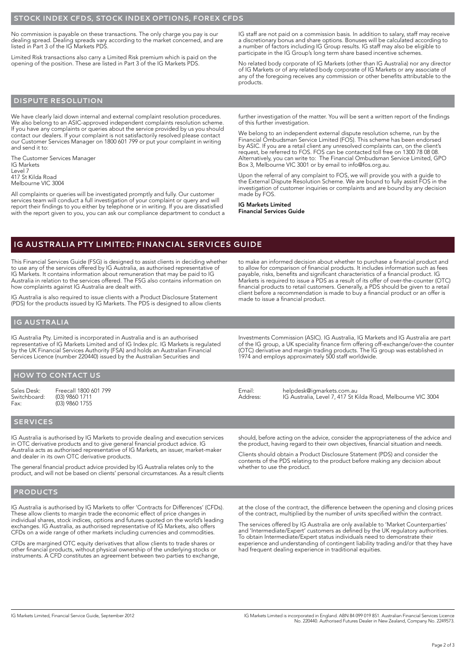#### **Stock index CFDs, stock index options, forex CFDs**

No commission is payable on these transactions. The only charge you pay is our dealing spread. Dealing spreads vary according to the market concerned, and are listed in Part 3 of the IG Markets PDS.

Limited Risk transactions also carry a Limited Risk premium which is paid on the opening of the position. These are listed in Part 3 of the IG Markets PDS.

IG staff are not paid on a commission basis. In addition to salary, staff may receive a discretionary bonus and share options. Bonuses will be calculated according to a number of factors including IG Group results. IG staff may also be eligible to participate in the IG Group's long term share based incentive schemes.

No related body corporate of IG Markets (other than IG Australia) nor any director of IG Markets or of any related body corporate of IG Markets or any associate of any of the foregoing receives any commission or other benefits attributable to the products.

# **Dispute resolution**

We have clearly laid down internal and external complaint resolution procedures. We also belong to an ASIC-approved independent complaints resolution scheme. If you have any complaints or queries about the service provided by us you should contact our dealers. If your complaint is not satisfactorily resolved please contact our Customer Services Manager on 1800 601 799 or put your complaint in writing and send it to:

The Customer Services Manager IG Markets Level 7 417 St Kilda Road Melbourne VIC 3004

All complaints or queries will be investigated promptly and fully. Our customer services team will conduct a full investigation of your complaint or query and will report their findings to you either by telephone or in writing. If you are dissatisfied with the report given to you, you can ask our compliance department to conduct a further investigation of the matter. You will be sent a written report of the findings of this further investigation.

We belong to an independent external dispute resolution scheme, run by the Financial Ombudsman Service Limited (FOS). This scheme has been endorsed by ASIC. If you are a retail client any unresolved complaints can, on the client's request, be referred to FOS. FOS can be contacted toll free on 1300 78 08 08. Alternatively, you can write to: The Financial Ombudsman Service Limited, GPO Box 3, Melbourne VIC 3001 or by email to info@fos.org.au.

Upon the referral of any complaint to FOS, we will provide you with a guide to the External Dispute Resolution Scheme. We are bound to fully assist FOS in the investigation of customer inquiries or complaints and are bound by any decision made by FOS.

to make an informed decision about whether to purchase a financial product and to allow for comparison of financial products. It includes information such as fees payable, risks, benefits and significant characteristics of a financial product. IG Markets is required to issue a PDS as a result of its offer of over-the-counter (OTC) financial products to retail customers. Generally, a PDS should be given to a retail client before a recommendation is made to buy a financial product or an offer is

IG Markets Limited Financial Services Guide

made to issue a financial product.

# **IG Australia Pty Limited: Financial Services Guide**

This Financial Services Guide (FSG) is designed to assist clients in deciding whether to use any of the services offered by IG Australia, as authorised representative of IG Markets. It contains information about remuneration that may be paid to IG Australia in relation to the services offered. The FSG also contains information on how complaints against IG Australia are dealt with.

IG Australia is also required to issue clients with a Product Disclosure Statement (PDS) for the products issued by IG Markets. The PDS is designed to allow clients

**IG Australia**

IG Australia Pty. Limited is incorporated in Australia and is an authorised representative of IG Markets Limited and of IG Index plc. IG Markets is regulated by the UK Financial Services Authority (FSA) and holds an Australian Financial Services Licence (number 220440) issued by the Australian Securities and

**How to contact us**

Sales Desk: Freecall 1800 601 799<br>Switchboard: (03) 9860 1711 Switchboard: (03) 9860 1711<br>Fax: (03) 9860 1755

 $(03)$  9860 1755

Investments Commission (ASIC). IG Australia, IG Markets and IG Australia are part

of the IG group, a UK speciality finance firm offering off-exchange/over-the counter (OTC) derivative and margin trading products. The IG group was established in 1974 and employs approximately 500 staff worldwide.

Email: [helpdesk@igmarkets.com.au](mailto:helpdesk%40igmarkets.com.au?subject=) Address: IG Australia, Level 7, 417 St Kilda Road, Melbourne VIC 3004

#### **Services**

IG Australia is authorised by IG Markets to provide dealing and execution services in OTC derivative products and to give general financial product advice. IG Australia acts as authorised representative of IG Markets, an issuer, market-maker and dealer in its own OTC derivative products.

The general financial product advice provided by IG Australia relates only to the product, and will not be based on clients' personal circumstances. As a result clients

# **Products**

IG Australia is authorised by IG Markets to offer 'Contracts for Differences' (CFDs). These allow clients to margin trade the economic effect of price changes in individual shares, stock indices, options and futures quoted on the world's leading exchanges. IG Australia, as authorised representative of IG Markets, also offers CFDs on a wide range of other markets including currencies and commodities.

CFDs are margined OTC equity derivatives that allow clients to trade shares or other financial products, without physical ownership of the underlying stocks or instruments. A CFD constitutes an agreement between two parties to exchange, should, before acting on the advice, consider the appropriateness of the advice and the product, having regard to their own objectives, financial situation and needs.

Clients should obtain a Product Disclosure Statement (PDS) and consider the contents of the PDS relating to the product before making any decision about whether to use the product.

at the close of the contract, the difference between the opening and closing prices of the contract, multiplied by the number of units specified within the contract.

The services offered by IG Australia are only available to 'Market Counterparties' and 'Intermediate/Expert' customers as defined by the UK regulatory authorities. To obtain Intermediate/Expert status individuals need to demonstrate their experience and understanding of contingent liability trading and/or that they have had frequent dealing experience in traditional equities.